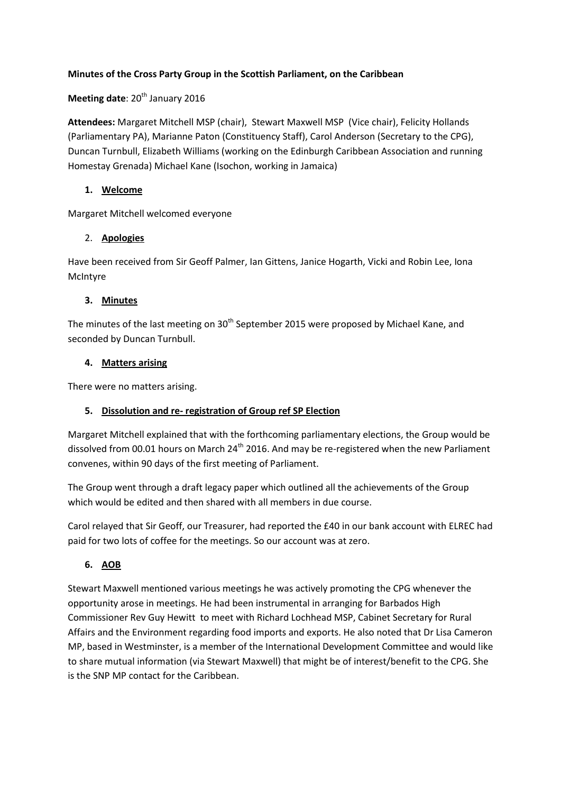#### **Minutes of the Cross Party Group in the Scottish Parliament, on the Caribbean**

## **Meeting date: 20<sup>th</sup> January 2016**

**Attendees:** Margaret Mitchell MSP (chair), Stewart Maxwell MSP (Vice chair), Felicity Hollands (Parliamentary PA), Marianne Paton (Constituency Staff), Carol Anderson (Secretary to the CPG), Duncan Turnbull, Elizabeth Williams (working on the Edinburgh Caribbean Association and running Homestay Grenada) Michael Kane (Isochon, working in Jamaica)

#### **1. Welcome**

Margaret Mitchell welcomed everyone

## 2. **Apologies**

Have been received from Sir Geoff Palmer, Ian Gittens, Janice Hogarth, Vicki and Robin Lee, Iona McIntyre

## **3. Minutes**

The minutes of the last meeting on  $30<sup>th</sup>$  September 2015 were proposed by Michael Kane, and seconded by Duncan Turnbull.

#### **4. Matters arising**

There were no matters arising.

# **5. Dissolution and re- registration of Group ref SP Election**

Margaret Mitchell explained that with the forthcoming parliamentary elections, the Group would be dissolved from 00.01 hours on March 24<sup>th</sup> 2016. And may be re-registered when the new Parliament convenes, within 90 days of the first meeting of Parliament.

The Group went through a draft legacy paper which outlined all the achievements of the Group which would be edited and then shared with all members in due course.

Carol relayed that Sir Geoff, our Treasurer, had reported the £40 in our bank account with ELREC had paid for two lots of coffee for the meetings. So our account was at zero.

# **6. AOB**

Stewart Maxwell mentioned various meetings he was actively promoting the CPG whenever the opportunity arose in meetings. He had been instrumental in arranging for Barbados High Commissioner Rev Guy Hewitt to meet with Richard Lochhead MSP, Cabinet Secretary for Rural Affairs and the Environment regarding food imports and exports. He also noted that Dr Lisa Cameron MP, based in Westminster, is a member of the International Development Committee and would like to share mutual information (via Stewart Maxwell) that might be of interest/benefit to the CPG. She is the SNP MP contact for the Caribbean.